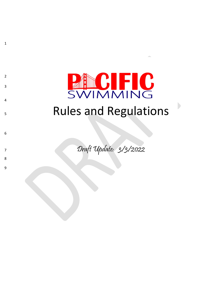

# Rules and Regulations

Draft Update: 3/3/2022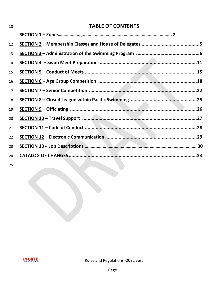| 10 | <b>TABLE OF CONTENTS</b> |  |
|----|--------------------------|--|
| 11 |                          |  |
| 12 |                          |  |
| 13 |                          |  |
| 14 |                          |  |
| 15 |                          |  |
| 16 |                          |  |
| 17 |                          |  |
| 18 |                          |  |
| 19 |                          |  |
| 20 |                          |  |
| 21 |                          |  |
| 22 |                          |  |
| 23 |                          |  |
| 24 |                          |  |
|    |                          |  |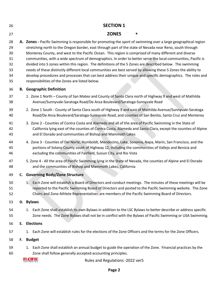| 26                                           |    | <b>SECTION 1</b>                                                                                                                                                                                                                                                                                                                                                                                                                                                                                                                                                                                                                                                                                                                                                                                                                                         |
|----------------------------------------------|----|----------------------------------------------------------------------------------------------------------------------------------------------------------------------------------------------------------------------------------------------------------------------------------------------------------------------------------------------------------------------------------------------------------------------------------------------------------------------------------------------------------------------------------------------------------------------------------------------------------------------------------------------------------------------------------------------------------------------------------------------------------------------------------------------------------------------------------------------------------|
| 27                                           |    | <b>ZONES</b><br>۰                                                                                                                                                                                                                                                                                                                                                                                                                                                                                                                                                                                                                                                                                                                                                                                                                                        |
| 28<br>29<br>30<br>31<br>32<br>33<br>34<br>35 |    | A. Zones - Pacific Swimming is responsible for promoting the sport of swimming over a large geographical region<br>stretching north to the Oregon border, east through part of the state of Nevada near Reno, south through<br>Monterey County, and west to the Pacific Ocean. This region is comprised of many different and diverse<br>communities, with a wide spectrum of demographics. In order to better serve the local communities, Pacific is<br>divided into 5 zones within this region. The definitions of the 5 Zones are described below. The swimming<br>needs of these distinctly different local communities are best served by allowing these 5 Zones the ability to<br>develop procedures and processes that can best address their unique and specific demographics. The roles and<br>responsibilities of the Zones are listed below. |
| 36                                           |    | <b>B.</b> Geographic Definition                                                                                                                                                                                                                                                                                                                                                                                                                                                                                                                                                                                                                                                                                                                                                                                                                          |
| 37<br>38                                     |    | 1. Zone 1 North - County of San Mateo and County of Santa Clara north of Highway 9 and west of Mathilda<br>Avenue/Sunnyvale-Saratoga Road/De Anza Boulevard/Saratoga-Sunnyvale Road                                                                                                                                                                                                                                                                                                                                                                                                                                                                                                                                                                                                                                                                      |
| 39<br>40                                     |    | 2. Zone 1 South - County of Santa Clara south of Highway 9 and east of Mathilda Avenue/Sunnyvale-Saratoga<br>Road/De Anza Boulevard/Saratoga-Sunnyvale Road, and counties of San Benito, Santa Cruz and Monterey                                                                                                                                                                                                                                                                                                                                                                                                                                                                                                                                                                                                                                         |
| 41<br>42<br>43                               |    | 3. Zone 2 - Counties of Contra Costa and Alameda and all of the area of Pacific Swimming in the State of<br>California lying east of the counties of Contra Costa, Alameda and Santa Clara, except the counties of Alpine<br>and El Dorado and communities of Bishop and Mammoth Lakes                                                                                                                                                                                                                                                                                                                                                                                                                                                                                                                                                                   |
| 44<br>45<br>46                               |    | 4. Zone 3 - Counties of Del Norte, Humboldt, Mendocino, Lake, Sonoma, Napa, Marin, San Francisco, and the<br>portions of Solano County south of Highway 12, including the communities of Vallejo and Benicia and<br>excluding the communities of Fairfield, Suisun City, and Rio Vista                                                                                                                                                                                                                                                                                                                                                                                                                                                                                                                                                                   |
| 47<br>48                                     |    | 5. Zone 4 - All the area of Pacific Swimming lying in the State of Nevada, the counties of Alpine and El Dorado<br>and the communities of Bishop and Mammoth Lakes, California                                                                                                                                                                                                                                                                                                                                                                                                                                                                                                                                                                                                                                                                           |
| 49                                           |    | C. Governing Body/Zone Structure                                                                                                                                                                                                                                                                                                                                                                                                                                                                                                                                                                                                                                                                                                                                                                                                                         |
| 50<br>51<br>52                               |    | 1. Each Zone will establish a Board of Directors and conduct meetings. The minutes of these meetings will be<br>reported to the Pacific Swimming Board of Directors and posted to the Pacific Swimming website. The Zone<br>Chairs and Zone Athlete Representatives are members of the Pacific Swimming Board of Directors.                                                                                                                                                                                                                                                                                                                                                                                                                                                                                                                              |
| 53                                           |    | D. Bylaws                                                                                                                                                                                                                                                                                                                                                                                                                                                                                                                                                                                                                                                                                                                                                                                                                                                |
| 54<br>55                                     |    | 1. Each Zone shall establish its own Bylaws in addition to the LSC Bylaws to better describe or address specific<br>Zone needs. The Zone Bylaws shall not be in conflict with the Bylaws of Pacific Swimming or USA Swimming.                                                                                                                                                                                                                                                                                                                                                                                                                                                                                                                                                                                                                            |
| 56                                           | Е. | <b>Elections</b>                                                                                                                                                                                                                                                                                                                                                                                                                                                                                                                                                                                                                                                                                                                                                                                                                                         |
| 57                                           |    | 1. Each Zone will establish rules for the elections of the Zone Officers and the terms for the Zone Officers.                                                                                                                                                                                                                                                                                                                                                                                                                                                                                                                                                                                                                                                                                                                                            |
| 58                                           | F. | <b>Budget</b>                                                                                                                                                                                                                                                                                                                                                                                                                                                                                                                                                                                                                                                                                                                                                                                                                                            |
| 59<br>60                                     |    | 1. Each Zone shall establish an annual budget to guide the operation of the Zone. Financial practices by the<br>Zone shall follow generally accepted accounting principles.                                                                                                                                                                                                                                                                                                                                                                                                                                                                                                                                                                                                                                                                              |
|                                              |    | <b>PERCEPTE</b><br>Rules and Regulations -2022 ver5                                                                                                                                                                                                                                                                                                                                                                                                                                                                                                                                                                                                                                                                                                                                                                                                      |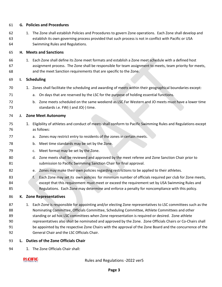# **G. Policies and Procedures**

 1. The Zone shall establish Policies and Procedures to govern Zone operations. Each Zone shall develop and establish its own governing process provided that such process is not in conflict with Pacific or USA Swimming Rules and Regulations.

# **H. Meets and Sanctions**

 1. Each Zone shall define its Zone meet formats and establish a Zone meet schedule with a defined host assignment process. The Zone shall be responsible for team assignment to meets, team priority for meets, and the meet Sanction requirements that are specific to the Zone.

# **I. Scheduling**

- 1. Zones shall facilitate the scheduling and awarding of meets within their geographical boundaries except:
- a. On days that are reserved by the LSC for the purpose of holding essential functions.
- b. Zone meets scheduled on the same weekend as LSC Far Western and JO meets must have a lower time 73 standards i.e. FW(-) and JO(-) time.

# **J. Zone Meet Autonomy**

- 1. Eligibility of athletes and conduct of meets shall conform to Pacific Swimming Rules and Regulations except as follows:
- a. Zones may restrict entry to residents of the zones in certain meets.
- b. Meet time standards may be set by the Zone.
- c. Meet format may be set by the Zone.
- d. Zone meets shall be reviewed and approved by the meet referee and Zone Sanction Chair prior to submission to Pacific Swimming Sanction Chair for final approval.
- e. Zones may make their own policies regarding restrictions to be applied to their athletes.
- 83 f. Each Zone may set its own policies for minimum number of officials required per club for Zone meets, except that this requirement must meet or exceed the requirement set by USA Swimming Rules and Regulations. Each Zone may determine and enforce a penalty for noncompliance with this policy.

#### **K. Zone Representatives**

- 87 1. Each Zone is responsible for appointing and/or electing Zone representatives to LSC committees such as the Nominating Committee, Officials Committee, Scheduling Committee, Athlete Committees and other standing or ad hoc LSC committees when Zone representation is required or desired. Zone athlete representatives also shall be nominated and approved by the Zone. Zone Officials Chairs or Co-Chairs shall be appointed by the respective Zone Chairs with the approval of the Zone Board and the concurrence of the General Chair and the LSC Officials Chair.
- **L. Duties of the Zone Officials Chair**
- 1. The Zone Officials Chair shall: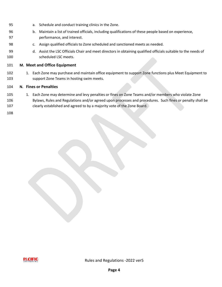| 95                       | a. | Schedule and conduct training clinics in the Zone.                                                                                                                                                                                                                                        |
|--------------------------|----|-------------------------------------------------------------------------------------------------------------------------------------------------------------------------------------------------------------------------------------------------------------------------------------------|
| 96<br>97                 | b. | Maintain a list of trained officials, including qualifications of these people based on experience,<br>performance, and interest.                                                                                                                                                         |
| 98                       | c. | Assign qualified officials to Zone scheduled and sanctioned meets as needed.                                                                                                                                                                                                              |
| 99<br>100                | d. | Assist the LSC Officials Chair and meet directors in obtaining qualified officials suitable to the needs of<br>scheduled LSC meets.                                                                                                                                                       |
| 101                      |    | M. Meet and Office Equipment                                                                                                                                                                                                                                                              |
| 102<br>103               | 1. | Each Zone may purchase and maintain office equipment to support Zone functions plus Meet Equipment to<br>support Zone Teams in hosting swim meets.                                                                                                                                        |
| 104                      |    | N. Fines or Penalties                                                                                                                                                                                                                                                                     |
| 105<br>106<br>107<br>108 | 1. | Each Zone may determine and levy penalties or fines on Zone Teams and/or members who violate Zone<br>Bylaws, Rules and Regulations and/or agreed upon processes and procedures. Such fines or penalty shall be<br>clearly established and agreed to by a majority vote of the Zone Board. |

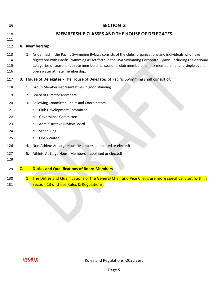| 109                      |                           |    | <b>SECTION 2</b>                                                                                                                                                                                                                                                                                                                                                     |
|--------------------------|---------------------------|----|----------------------------------------------------------------------------------------------------------------------------------------------------------------------------------------------------------------------------------------------------------------------------------------------------------------------------------------------------------------------|
| 110<br>111               |                           |    | <b>MEMBERSHIP CLASSES AND THE HOUSE OF DELEGATES</b>                                                                                                                                                                                                                                                                                                                 |
| 112                      |                           |    | A. Membership                                                                                                                                                                                                                                                                                                                                                        |
| 113<br>114<br>115<br>116 |                           |    | 1. As defined in the Pacific Swimming Bylaws consists of the clubs, organizations and individuals who have<br>registered with Pacific Swimming as set forth in the USA Swimming Corporate Bylaws, including the optional<br>categories of seasonal athlete membership, seasonal club membership, flex membership, and single event<br>open water athlete membership. |
| 117                      |                           |    | <b>B.</b> House of Delegates - The House of Delegates of Pacific Swimming shall consist of:                                                                                                                                                                                                                                                                          |
| 118                      |                           | 1. | Group Member Representatives in good standing                                                                                                                                                                                                                                                                                                                        |
| 119                      |                           | 2. | <b>Board of Director Members</b>                                                                                                                                                                                                                                                                                                                                     |
| 120<br>121               |                           | 3. | Following Committee Chairs and Coordinators<br>Club Development Committee<br>а.                                                                                                                                                                                                                                                                                      |
| 122                      |                           |    | <b>Governance Committee</b><br>b.                                                                                                                                                                                                                                                                                                                                    |
| 123                      |                           |    | <b>Administrative Review Board</b><br>c.                                                                                                                                                                                                                                                                                                                             |
| 124                      |                           |    | Scheduling<br>d.                                                                                                                                                                                                                                                                                                                                                     |
| 125                      |                           |    | e. Open Water                                                                                                                                                                                                                                                                                                                                                        |
| 126                      |                           | 4. | Non-Athlete At-Large House Members (appointed or elected)                                                                                                                                                                                                                                                                                                            |
| 127<br>128               |                           | 5. | Athlete At-Large House Members (appointed or elected)                                                                                                                                                                                                                                                                                                                |
| 129                      | $\overline{\mathsf{C}}$ . |    | <b>Duties and Qualifications of Board Members</b>                                                                                                                                                                                                                                                                                                                    |
| 130                      |                           |    | 1. The Duties and Qualifications of the General Chair and Vice Chairs are more specifically set forth in                                                                                                                                                                                                                                                             |
| 131                      |                           |    | Section 13 of these Rules & Regulations.                                                                                                                                                                                                                                                                                                                             |



<span id="page-5-0"></span>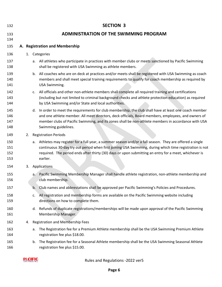| 132                      |    | <b>SECTION 3</b>                                                                                                                                                                                                                                                                                                                              |
|--------------------------|----|-----------------------------------------------------------------------------------------------------------------------------------------------------------------------------------------------------------------------------------------------------------------------------------------------------------------------------------------------|
| 133<br>134               |    | <b>ADMINISTRATION OF THE SWIMMING PROGRAM</b>                                                                                                                                                                                                                                                                                                 |
| 135                      |    | A. Registration and Membership                                                                                                                                                                                                                                                                                                                |
| 136                      |    | 1. Categories                                                                                                                                                                                                                                                                                                                                 |
| 137<br>138               |    | a. All athletes who participate in practices with member clubs or meets sanctioned by Pacific Swimming<br>shall be registered with USA Swimming as athlete members.                                                                                                                                                                           |
| 139<br>140<br>141        |    | b. All coaches who are on deck at practices and/or meets shall be registered with USA Swimming as coach<br>members and shall meet special training requirements to qualify for coach membership as required by<br>USA Swimming.                                                                                                               |
| 142<br>143<br>144        |    | All officials and other non-athlete members shall complete all required training and certifications<br>c.<br>(including but not limited to criminal background checks and athlete protection education) as required<br>by USA Swimming and/or State and local authorities.                                                                    |
| 145<br>146<br>147<br>148 |    | d. In order to meet the requirements for club membership, the club shall have at least one coach member<br>and one athlete member. All meet directors, deck officials, Board members, employees, and owners of<br>member clubs of Pacific Swimming, and its zones shall be non-athlete members in accordance with USA<br>Swimming guidelines. |
| 149                      | 2. | <b>Registration Periods</b>                                                                                                                                                                                                                                                                                                                   |
| 150<br>151<br>152<br>153 |    | a. Athletes may register for a full year, a summer season and/or a fall season. They are offered a single<br>continuous 30-day try out period when first joining USA Swimming, during which time registration is not<br>required. The period ends after thirty (30) days or upon submitting an entry for a meet, whichever is<br>earlier.     |
| 154                      | 3. | Applications                                                                                                                                                                                                                                                                                                                                  |
| 155<br>156               |    | a. Pacific Swimming Membership Manager shall handle athlete registration, non-athlete membership and<br>club membership.                                                                                                                                                                                                                      |
| 157                      |    | Club names and abbreviations shall be approved per Pacific Swimming's Policies and Procedures.<br>b.                                                                                                                                                                                                                                          |
| 158<br>159               |    | All registration and membership forms are available on the Pacific Swimming website including<br>c.<br>directions on how to complete them.                                                                                                                                                                                                    |
| 160<br>161               |    | Refunds of duplicate registrations/memberships will be made upon approval of the Pacific Swimming<br>d.<br>Membership Manager.                                                                                                                                                                                                                |
| 162                      |    | 4. Registration and Membership Fees                                                                                                                                                                                                                                                                                                           |
| 163<br>164               |    | The Registration fee for a Premium Athlete membership shall be the USA Swimming Premium Athlete<br>a.<br>registration fee plus \$18.00.                                                                                                                                                                                                       |
| 165<br>166               |    | The Registration fee for a Seasonal Athlete membership shall be the USA Swimming Seasonal Athlete<br>b.<br>registration fee plus \$15.00.                                                                                                                                                                                                     |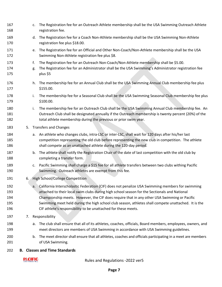| 167<br>168                      |    | c.       | The Registration fee for an Outreach Athlete membership shall be the USA Swimming Outreach Athlete<br>registration fee.                                                                                                                                                                                                                                                                                                                                                 |  |  |  |  |
|---------------------------------|----|----------|-------------------------------------------------------------------------------------------------------------------------------------------------------------------------------------------------------------------------------------------------------------------------------------------------------------------------------------------------------------------------------------------------------------------------------------------------------------------------|--|--|--|--|
| 169<br>170                      |    | d.       | The Registration fee for a Coach Non-Athlete membership shall be the USA Swimming Non-Athlete<br>registration fee plus \$18.00.                                                                                                                                                                                                                                                                                                                                         |  |  |  |  |
| 171<br>172                      |    |          | e. The Registration fee for an Official and Other Non-Coach/Non-Athlete membership shall be the USA<br>Swimming Non-Athlete registration fee plus \$8.                                                                                                                                                                                                                                                                                                                  |  |  |  |  |
| 173<br>174<br>175               |    | f.<br>g. | The Registration fee for an Outreach Non-Coach/Non-Athlete membership shall be \$5.00.<br>The Registration fee for an Administrator shall be the USA Swimming's Administrator registration fee<br>plus \$5                                                                                                                                                                                                                                                              |  |  |  |  |
| 176<br>177                      |    | h.       | The membership fee for an Annual Club shall be the USA Swimming Annual Club membership fee plus<br>\$155.00.                                                                                                                                                                                                                                                                                                                                                            |  |  |  |  |
| 178<br>179                      |    | i.       | The membership fee for a Seasonal Club shall be the USA Swimming Seasonal Club membership fee plus<br>\$100.00.                                                                                                                                                                                                                                                                                                                                                         |  |  |  |  |
| 180<br>181<br>182               |    | i.       | The membership fee for an Outreach Club shall be the USA Swimming Annual Club membership fee. An<br>Outreach Club shall be designated annually if the Outreach membership is twenty percent (20%) of the<br>total athlete membership during the previous or prior swim year.                                                                                                                                                                                            |  |  |  |  |
| 183                             | 5. |          | <b>Transfers and Changes</b>                                                                                                                                                                                                                                                                                                                                                                                                                                            |  |  |  |  |
| 184<br>185<br>186               |    |          | a. An athlete who changes clubs, intra-LSC or inter-LSC, shall wait for 120 days after his/her last<br>competition representing the old club before representing the new club in competition. The athlete<br>shall compete as an unattached athlete during the 120-day period.                                                                                                                                                                                          |  |  |  |  |
| 187<br>188                      |    | b.       | The athlete shall notify the Registration Chair of the date of last competition with the old club by<br>completing a transfer form.                                                                                                                                                                                                                                                                                                                                     |  |  |  |  |
| 189<br>190                      |    | c.       | Pacific Swimming shall charge a \$15 fee for all athlete transfers between two clubs withing Pacific<br>Swimming. Outreach athletes are exempt from this fee.                                                                                                                                                                                                                                                                                                           |  |  |  |  |
| 191                             | 6. |          | High School/College Competition                                                                                                                                                                                                                                                                                                                                                                                                                                         |  |  |  |  |
| 192<br>193<br>194<br>195<br>196 |    | а.       | California Interscholastic Federation (CIF) does not penalize USA Swimming members for swimming<br>attached to their local swim clubs during high school season for the Sectionals and National<br>Championship meets. However, the CIF does require that in any other USA Swimming or Pacific<br>Swimming meet held during the high school club season, athletes shall compete unattached. It is the<br>CIF athlete's responsibility to be unattached for these meets. |  |  |  |  |
| 197                             | 7. |          | Responsibility                                                                                                                                                                                                                                                                                                                                                                                                                                                          |  |  |  |  |
| 198<br>199                      |    |          | a. The club shall ensure that all of its athletes, coaches, officials, Board members, employees, owners, and<br>meet directors are members of USA Swimming in accordance with USA Swimming guidelines.                                                                                                                                                                                                                                                                  |  |  |  |  |
| 200<br>201                      |    | b.       | The meet director shall ensure that all athletes, coaches and officials participating in a meet are members<br>of USA Swimming.                                                                                                                                                                                                                                                                                                                                         |  |  |  |  |
| 202                             |    |          | <b>B.</b> Classes and Time Standards                                                                                                                                                                                                                                                                                                                                                                                                                                    |  |  |  |  |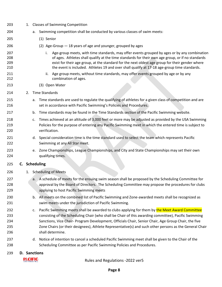| 203                             |    |    | 1. Classes of Swimming Competition                                                                                                                                                                                                                                                                                                                                                                                                            |
|---------------------------------|----|----|-----------------------------------------------------------------------------------------------------------------------------------------------------------------------------------------------------------------------------------------------------------------------------------------------------------------------------------------------------------------------------------------------------------------------------------------------|
| 204                             |    | а. | Swimming competition shall be conducted by various classes of swim meets:                                                                                                                                                                                                                                                                                                                                                                     |
| 205                             |    |    | (1) Senior                                                                                                                                                                                                                                                                                                                                                                                                                                    |
| 206                             |    |    | (2) Age-Group - 18 years of age and younger, grouped by ages                                                                                                                                                                                                                                                                                                                                                                                  |
| 207<br>208<br>209<br>210        |    |    | Age-group meets, with time standards, may offer events grouped by ages or by any combination<br>i.<br>of ages. Athletes shall qualify at the time standards for their own age group, or if no standards<br>exist for their age group, at the standard for the next oldest age group for their gender where<br>the event is included. Athletes 19 and over shall qualify at 17-18 age-group time standards.                                    |
| 211<br>212                      |    |    | Age group meets, without time standards, may offer events grouped by age or by any<br>ii.<br>combination of ages.                                                                                                                                                                                                                                                                                                                             |
| 213                             |    |    | (3) Open Water                                                                                                                                                                                                                                                                                                                                                                                                                                |
| 214                             | 2. |    | <b>Time Standards</b>                                                                                                                                                                                                                                                                                                                                                                                                                         |
| 215<br>216                      |    | а. | Time standards are used to regulate the qualifying of athletes for a given class of competition and are<br>set in accordance with Pacific Swimming's Policies and Procedures.                                                                                                                                                                                                                                                                 |
| 217                             |    | b. | Time standards may be found in the Time Standards section of the Pacific Swimming website.                                                                                                                                                                                                                                                                                                                                                    |
| 218<br>219<br>220               |    | c. | Times achieved at an altitude of 3,000 feet or more may be adjusted as provided by the USA Swimming<br>Policies for the purpose of entering any Pacific Swimming meet in which the entered time is subject to<br>verification.                                                                                                                                                                                                                |
| 221<br>222                      |    |    | d. Special consideration time is the time standard used to select the team which represents Pacific<br>Swimming at any All Star meet.                                                                                                                                                                                                                                                                                                         |
| 223<br>224                      |    |    | e. Zone Championships, League Championships, and City and State Championships may set their own<br>qualifying times.                                                                                                                                                                                                                                                                                                                          |
| 225                             |    |    | C. Scheduling                                                                                                                                                                                                                                                                                                                                                                                                                                 |
| 226                             |    |    | 1. Scheduling of Meets                                                                                                                                                                                                                                                                                                                                                                                                                        |
| 227<br>228<br>229               |    |    | a. A schedule of meets for the ensuing swim season shall be proposed by the Scheduling Committee for<br>approval by the Board of Directors. The Scheduling Committee may propose the procedures for clubs<br>applying to host Pacific Swimming meets                                                                                                                                                                                          |
| 230<br>231                      |    | b. | All meets on the combined list of Pacific Swimming and Zone-awarded meets shall be recognized as<br>swim meets under the jurisdiction of Pacific Swimming.                                                                                                                                                                                                                                                                                    |
| 232<br>233<br>234<br>235<br>236 |    | C. | Pacific Swimming meets shall be awarded to clubs applying for them by the Meet Award Committee<br>consisting of the Scheduling Chair (who shall be Chair of this awarding committee), Pacific Swimming<br>Sanctions, Vice Chair- Program Development, Officials Chair, Senior Chair, Age Group Chair, the five<br>Zone Chairs (or their designees), Athlete Representative(s) and such other persons as the General Chair<br>shall determine. |
| 237<br>238                      |    | d. | Notice of intention to cancel a scheduled Pacific Swimming meet shall be given to the Chair of the<br>Scheduling Committee as per Pacific Swimming Policies and Procedures.                                                                                                                                                                                                                                                                   |
| 239                             |    |    | D. Sanctions                                                                                                                                                                                                                                                                                                                                                                                                                                  |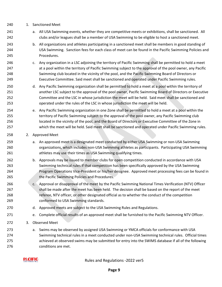- 1. Sanctioned Meet
- **a.** All USA Swimming events, whether they are competitive meets or exhibitions, shall be sanctioned. All clubs and/or leagues shall be a member of USA Swimming to be eligible to host a sanctioned meet.
- b. All organizations and athletes participating in a sanctioned meet shall be members in good standing of USA Swimming. Sanction fees for each class of meet can be found in the Pacific Swimming Policies and Procedures.
- c. Any organization in a LSC adjoining the territory of Pacific Swimming shall be permitted to hold a meet 247 at a pool within the territory of Pacific Swimming subject to the approval of the pool owner, any Pacific Swimming club located in the vicinity of the pool, and the Pacific Swimming Board of Directors or Executive Committee. Said meet shall be sanctioned and operated under Pacific Swimming rules.
- d. Any Pacific Swimming organization shall be permitted to hold a meet at a pool within the territory of another LSC subject to the approval of the pool owner, Pacific Swimming Board of Directors or Executive Committee and the LSC in whose jurisdiction the meet will be held. Said meet shall be sanctioned and operated under the rules of the LSC in whose jurisdiction the meet will be held.
- e. Any Pacific Swimming organization in one Zone shall be permitted to hold a meet at a pool within the 255 territory of Pacific Swimming subject to the approval of the pool owner, any Pacific Swimming club located in the vicinity of the pool, and the Board of Directors or Executive Committee of the Zone in which the meet will be held. Said meet shall be sanctioned and operated under Pacific Swimming rules.
- 2. Approved Meet
- a. An approved meet is a designated meet conducted by either USA Swimming or non-USA Swimming 260 organizations, which includes non-USA Swimming athletes as participants. Participating USA Swimming athletes may use their times as USA Swimming qualifying times.
- b. Approvals may be issued to member clubs for open competition conducted in accordance with USA Swimming technical rules if that competition has been specifically approved by the USA Swimming Program Operations Vice-President or his/her designee. Approved meet processing fees can be found in the Pacific Swimming Policies and Procedures.
- c. Approval or disapproval of the meet by the Pacific Swimming National Times Verification (NTV) Officer shall be made after the meet has been held. The decision shall be based on the report of the meet referee, NTV officer, or other designated official as to whether the conduct of the competition conformed to USA Swimming standards.
- d. Approved meets are subject to the USA Swimming Rules and Regulations.
- e. Complete official results of an approved meet shall be furnished to the Pacific Swimming NTV Officer.
- 3. Observed Meet
- a. Swims may be observed by assigned USA Swimming or YMCA officials for conformance with USA Swimming technical rules in a meet conducted under non-USA Swimming technical rules. Official times achieved at observed swims may be submitted for entry into the SWIMS database if all of the following conditions are met.

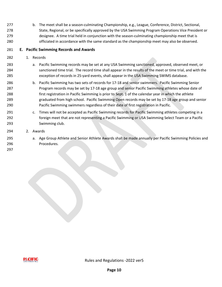277 b. The meet shall be a season-culminating Championship, e.g., League, Conference, District, Sectional, State, Regional, or be specifically approved by the USA Swimming Program Operations Vice President or designee. A time trial held in conjunction with the season-culminating championship meet that is officiated in accordance with the same standard as the championship meet may also be observed.

# **E. Pacific Swimming Records and Awards**

# 1. Records

- a. Pacific Swimming records may be set at any USA Swimming sanctioned, approved, observed meet, or sanctioned time trial. The record time shall appear in the results of the meet or time trial, and with the exception of records in 25-yard events, shall appear in the USA Swimming SWIMS database.
- b. Pacific Swimming has two sets of records for 17-18 and senior swimmers. Pacific Swimming Senior Program records may be set by 17-18 age group and senior Pacific Swimming athletes whose date of first registration in Pacific Swimming is prior to Sept. 1 of the calendar year in which the athlete graduated from high school. Pacific Swimming Open records may be set by 17-18 age group and senior Pacific Swimming swimmers regardless of their date of first registration in Pacific.
- 291 c. Times will not be accepted as Pacific Swimming records for Pacific Swimming athletes competing in a foreign meet that are not representing a Pacific Swimming or USA Swimming Select Team or a Pacific Swimming club.
- 2. Awards
- 295 a. Age Group Athlete and Senior Athlete Awards shall be made annually per Pacific Swimming Policies and Procedures.
-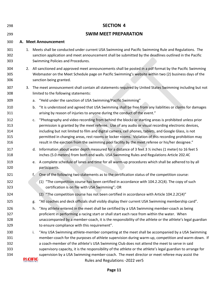<span id="page-11-0"></span>

| 298                             |                 | <b>SECTION 4</b>                                                                                                                                                                                                                                                                                                                                                                                                                                                                                                                      |
|---------------------------------|-----------------|---------------------------------------------------------------------------------------------------------------------------------------------------------------------------------------------------------------------------------------------------------------------------------------------------------------------------------------------------------------------------------------------------------------------------------------------------------------------------------------------------------------------------------------|
| 299                             |                 | <b>SWIM MEET PREPARATION</b>                                                                                                                                                                                                                                                                                                                                                                                                                                                                                                          |
| 300                             |                 | A. Meet Announcement                                                                                                                                                                                                                                                                                                                                                                                                                                                                                                                  |
| 301<br>302<br>303               |                 | 1. Meets shall be conducted under current USA Swimming and Pacific Swimming Rule and Regulations. The<br>sanction application and meet announcement shall be submitted by the deadlines outlined in the Pacific<br>Swimming Policies and Procedures.                                                                                                                                                                                                                                                                                  |
| 304<br>305<br>306               |                 | 2. All sanctioned and approved meet announcements shall be posted in a pdf format by the Pacific Swimming<br>Webmaster on the Meet Schedule page on Pacific Swimming's website within two (2) business days of the<br>sanction being granted.                                                                                                                                                                                                                                                                                         |
| 307<br>308                      | 3.              | The meet announcement shall contain all statements required by United States Swimming including but not<br>limited to the following statements:                                                                                                                                                                                                                                                                                                                                                                                       |
| 309                             |                 | "Held under the sanction of USA Swimming/Pacific Swimming"<br>a.                                                                                                                                                                                                                                                                                                                                                                                                                                                                      |
| 310<br>311                      |                 | "It is understood and agreed that USA Swimming shall be free from any liabilities or claims for damages<br>b.<br>arising by reason of injuries to anyone during the conduct of the event."                                                                                                                                                                                                                                                                                                                                            |
| 312<br>313<br>314<br>315<br>316 |                 | "Photography and video recording from behind the blocks or starting areas is prohibited unless prior<br>c.<br>permission is granted by the meet referee. Use of any audio or visual recording electronic devices,<br>including but not limited to film and digital camera, cell phones, tablets, and Google Glass, is not<br>permitted in changing areas, rest rooms or locker rooms. Violation of this recording prohibition may<br>result in the ejection from the swimming pool facility by the meet referee or his/her designee." |
| 317<br>318                      |                 | d. Information about water depth measured for a distance of 3 feet 3 % inches (1 meter) to 16 feet 5<br>inches (5.0 meters) from both end walls. USA Swimming Rules and Regulations Article 202.4C                                                                                                                                                                                                                                                                                                                                    |
| 319<br>320                      |                 | e. A complete schedule of lanes and time for all warm-up procedures which shall be adhered to by all<br>participants.                                                                                                                                                                                                                                                                                                                                                                                                                 |
| 321                             |                 | One of the following two statements as to the certification status of the competition course:<br>f.                                                                                                                                                                                                                                                                                                                                                                                                                                   |
| 322<br>323                      |                 | (1) "The competition course has been certified in accordance with 104.2.2C(4). The copy of such<br>certification is on file with USA Swimming"; OR                                                                                                                                                                                                                                                                                                                                                                                    |
| 324                             |                 | (2) "The competition course has not been certified in accordance with Article 104.2.2C(4)"                                                                                                                                                                                                                                                                                                                                                                                                                                            |
| 325                             |                 | "All coaches and deck officials shall visibly display their current USA Swimming membership card".<br>g.                                                                                                                                                                                                                                                                                                                                                                                                                              |
| 326<br>327<br>328<br>329        |                 | "Any athlete entered in the meet shall be certified by a USA Swimming member-coach as being<br>h.<br>proficient in performing a racing start or shall start each race from within the water. When<br>unaccompanied by a member-coach, it is the responsibility of the athlete or the athlete's legal guardian<br>to ensure compliance with this requirement".                                                                                                                                                                         |
| 330<br>331<br>332<br>333<br>334 |                 | "Any USA Swimming athlete-member competing at the meet shall be accompanied by a USA Swimming<br>i.<br>member-coach for the purposes of athlete supervision during warm-up, competition and warm-down. If<br>a coach-member of the athlete's USA Swimming Club does not attend the meet to serve in said<br>supervisory capacity, it is the responsibility of the athlete or the athlete's legal guardian to arrange for<br>supervision by a USA Swimming member-coach. The meet director or meet referee may assist the              |
|                                 | <b>PINCIFIC</b> | Rules and Regulations -2022 ver5                                                                                                                                                                                                                                                                                                                                                                                                                                                                                                      |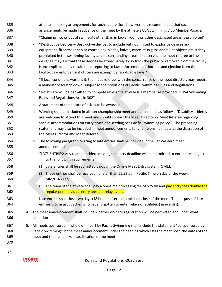| 335<br>336                             |    |              | athlete in making arrangements for such supervision; however, it is recommended that such<br>arrangements be made in advance of the meet by the athlete's USA Swimming Club Member-Coach."                                                                                                                                                                                                                                                                                                                                                                                                               |
|----------------------------------------|----|--------------|----------------------------------------------------------------------------------------------------------------------------------------------------------------------------------------------------------------------------------------------------------------------------------------------------------------------------------------------------------------------------------------------------------------------------------------------------------------------------------------------------------------------------------------------------------------------------------------------------------|
| 337                                    |    | j.           | "Changing into or out of swimsuits other than in locker rooms or other designated areas is prohibited"                                                                                                                                                                                                                                                                                                                                                                                                                                                                                                   |
| 338<br>339<br>340<br>341<br>342<br>343 |    | k.           | "Destructive Devices - Destructive devices to include but not limited to explosive devices and<br>equipment, firearms (open or concealed), blades, knives, mace, stun guns and blunt objects are strictly<br>prohibited in the swimming facility and its surrounding areas. If observed, the meet referee or his/her<br>designee may ask that these devices be stored safely away from the public or removed from the facility.<br>Noncompliance may result in the reporting to law enforcement authorities and ejection from the<br>facility. Law enforcement officers are exempt per applicable laws." |
| 344<br>345                             |    | $\mathsf{L}$ | "If local conditions warrant it, the meet referee, with the concurrence of the meet director, may require<br>a mandatory scratch down, subject to the provisions of Pacific Swimming Rules and Regulations".                                                                                                                                                                                                                                                                                                                                                                                             |
| 346<br>347                             |    |              | m. "No athlete will be permitted to compete unless the athlete is a member as provided in USA Swimming<br>Rules and Regulations Article 302"                                                                                                                                                                                                                                                                                                                                                                                                                                                             |
| 348                                    |    | n.           | A statement of the nature of prizes to be awarded                                                                                                                                                                                                                                                                                                                                                                                                                                                                                                                                                        |
| 349<br>350<br>351<br>352<br>353        |    |              | o. Wording shall be included in all non-championship meet announcements as follows: "Disability athletes<br>are welcome to attend this meet and should contact the Meet Director or Meet Referee regarding<br>special accommodations on entry times and seeding per Pacific Swimming policy." The preceding<br>statement may also be included in meet announcements for championship meets at the discretion of<br>the Meet Director and Meet Referee.                                                                                                                                                   |
| 354<br>355                             |    | p.           | The following paragraph relating to late entries shall be included in the Far Western meet<br>announcement:                                                                                                                                                                                                                                                                                                                                                                                                                                                                                              |
| 356<br>357                             |    |              | "LATE ENTRIES: Any team or athlete missing the entry deadline will be permitted to enter late, subject<br>to the following requirements:                                                                                                                                                                                                                                                                                                                                                                                                                                                                 |
| 358                                    |    |              | (1) Late entries shall be submitted through the Online Meet Entry system (OME);                                                                                                                                                                                                                                                                                                                                                                                                                                                                                                                          |
| 359<br>360                             |    |              | (2) These entries shall be received no later than 11:59 p.m. Pacific Time on day of the week,<br>MM/DD/YYYY;                                                                                                                                                                                                                                                                                                                                                                                                                                                                                             |
| 361<br>362                             |    |              | (3) The team of the athlete shall pay a one-time processing fee of \$75.00 and pay entry fees double the<br>regular per individual entry fees per relay event.                                                                                                                                                                                                                                                                                                                                                                                                                                           |
| 363<br>364                             |    |              | Late entries shall close two days (48 hours) after the published close of the meet. The purpose of late<br>entries is to assist coaches who have forgotten to enter relays or athlete(s) in event(s).                                                                                                                                                                                                                                                                                                                                                                                                    |
| 365<br>366                             | 4. |              | The meet announcement shall include whether on-deck registration will be permitted and under what<br>condition                                                                                                                                                                                                                                                                                                                                                                                                                                                                                           |
| 367<br>368<br>369<br>370               | 5. |              | All meets sponsored in whole or in part by Pacific Swimming shall include the statement "co-sponsored by<br>Pacific Swimming" in the meet announcement under the heading which lists the meet host, the dates of the<br>meet and the name of/or classification of the meet.                                                                                                                                                                                                                                                                                                                              |

**PACIFIC**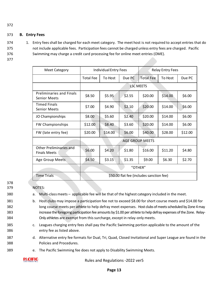# 373 **B. Entry Fees**

- 374 1. Entry feesshall be charged for each meet category. The meet host is not required to accept entries that do
- 375 not include applicable fees. Participation fees cannot be charged unless entry fees are charged. Pacific
- 376 Swimming may charge a credit card processing fee for online meet entries (OME).
- 377

| <b>Meet Category</b>                                   |                  | Individual Entry Fees |        | <b>Relay Entry Fees</b>                  |         |         |
|--------------------------------------------------------|------------------|-----------------------|--------|------------------------------------------|---------|---------|
|                                                        | <b>Total Fee</b> | To Host               | Due PC | <b>Total Fee</b>                         | To Host | Due PC  |
|                                                        |                  |                       |        | <b>LSC MEETS</b>                         |         |         |
| <b>Preliminaries and Finals</b><br><b>Senior Meets</b> | \$8.50           | \$5.95                | \$2.55 | \$20.00                                  | \$14.00 | \$6.00  |
| <b>Timed Finals</b><br><b>Senior Meets</b>             | \$7.00           | \$4.90                | \$2.10 | \$20.00                                  | \$14.00 | \$6.00  |
| JO Championships                                       | \$8.00           | \$5.60                | \$2.40 | \$20.00                                  | \$14.00 | \$6.00  |
| <b>FW Championships</b>                                | \$12.00          | \$8.40                | \$3.60 | \$20.00                                  | \$14.00 | \$6.00  |
| FW (late entry fee)                                    | \$20.00          | \$14.00               | \$6.00 | \$40.00                                  | \$28.00 | \$12.00 |
|                                                        |                  |                       |        | AGE GROUP MEETS                          |         |         |
| Other Preliminaries and<br><b>Finals Meets</b>         | \$6.00           | \$4.20                | \$1.80 | \$16.00                                  | \$11.20 | \$4.80  |
| Age Group Meets                                        | \$4.50           | \$3.15                | \$1.35 | \$9.00                                   | \$6.30  | \$2.70  |
|                                                        |                  |                       |        | "OTHER"                                  |         |         |
| <b>Time Trials</b>                                     |                  |                       |        | \$50.00 flat fee (includes sanction fee) |         |         |

378

379 NOTES:

- 380 a. Multi-classmeets applicable fee will be that of the highest category included in the meet.
- 381 b. Host clubs may impose a participation fee not to exceed \$8.00 for short course meets and \$14.00 for 382 long course meets per athlete to help defray meet expenses. Host clubs of meets scheduled by Zone 4 may 383 increase the foregoing participation fee amounts by \$1.00 per athlete to help defray expenses of the Zone. Relay-384 Only athletes are exempt from this surcharge, except in relay-only meets.
- 385 c. Leagues charging entry fees shall pay the Pacific Swimming portion applicable to the amount of the 386 entry fee as listed above.
- 387 d. Alternative entry fee formats for Dual, Tri, Quad, Closed Invitational and Super League are found in the 388 Policies and Procedures.
- 389 e. The Pacific Swimming fee does not apply to Disability Swimming Meets.

**RIKGI FIG**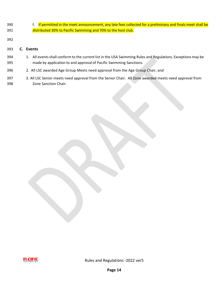- 390 f. If permitted in the meet announcement, any late fees collected for a preliminary and finals meet shall be distributed 30% to Pacific Swimming and 70% to the host club.
- 

# **C. Events**

- 394 1. All events shall conform to the current list in the USA Swimming Rules and Regulations. Exceptions may be made by application to and approval of Pacific Swimming Sanctions.
- 2. All LSC awarded Age Group Meets need approval from the Age Group Chair, and
- 3. All LSC Senior meets need approval from the Senior Chair. All Zone awarded meets need approval from Zone Sanction Chair.

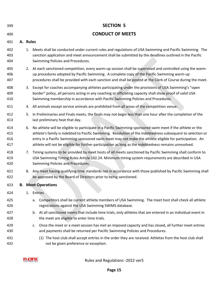<span id="page-15-0"></span>

| 399                      |    |                         | <b>SECTION 5</b>                                                                                                                                                                                                                                                                                                                                                                                                                                  |  |  |  |  |
|--------------------------|----|-------------------------|---------------------------------------------------------------------------------------------------------------------------------------------------------------------------------------------------------------------------------------------------------------------------------------------------------------------------------------------------------------------------------------------------------------------------------------------------|--|--|--|--|
| 400                      |    | <b>CONDUCT OF MEETS</b> |                                                                                                                                                                                                                                                                                                                                                                                                                                                   |  |  |  |  |
| 401                      |    | A. Rules                |                                                                                                                                                                                                                                                                                                                                                                                                                                                   |  |  |  |  |
| 402<br>403<br>404        |    |                         | 1. Meets shall be conducted under current rules and regulations of USA Swimming and Pacific Swimming. The<br>sanction application and meet announcement shall be submitted by the deadlines outlined in the Pacific<br>Swimming Policies and Procedures.                                                                                                                                                                                          |  |  |  |  |
| 405<br>406<br>407        |    |                         | 2. At each sanctioned competition, every warm-up session shall be supervised and controlled using the warm-<br>up procedures adopted by Pacific Swimming. A complete copy of the Pacific Swimming warm-up<br>procedures shall be provided with each sanction and shall be posted at the Clerk of Course during the meet.                                                                                                                          |  |  |  |  |
| 408<br>409<br>410        |    | 3.                      | Except for coaches accompanying athletes participating under the provisions of USA Swimming's "open<br>border" policy, all persons acting in any coaching or officiating capacity shall show proof of valid USA<br>Swimming membership in accordance with Pacific Swimming Policies and Procedures.                                                                                                                                               |  |  |  |  |
| 411                      |    |                         | 4. All animals except service animals are prohibited from all areas of the competition venue.                                                                                                                                                                                                                                                                                                                                                     |  |  |  |  |
| 412<br>413               |    | 5.                      | In Preliminaries and Finals meets, the finals may not begin less than one hour after the completion of the<br>last preliminary heat that day.                                                                                                                                                                                                                                                                                                     |  |  |  |  |
| 414<br>415<br>416<br>417 |    |                         | 6. No athlete will be eligible to participate in a Pacific Swimming-sponsored swim meet if the athlete or the<br>athlete's family is indebted to Pacific Swimming. Resolution of the indebtedness subsequent to selection or<br>entry in a Pacific Swimming-sponsored swim meet may not make the athlete eligible for participation. An<br>athlete will not be eligible for further participation as long as the indebtedness remains unresolved. |  |  |  |  |
| 418<br>419<br>420        |    | 7.                      | Timing systems to be provided by meet hosts of all meets sanctioned by Pacific Swimming shall conform to<br>USA Swimming Timing Rules Article 102.24. Minimum timing system requirements are described in USA<br>Swimming Policies and Procedures.                                                                                                                                                                                                |  |  |  |  |
| 421<br>422               |    | 8.                      | Any meet having qualifying time standards not in accordance with those published by Pacific Swimming shall<br>be approved by the Board of Directors prior to being sanctioned.                                                                                                                                                                                                                                                                    |  |  |  |  |
| 423                      | В. |                         | <b>Meet Operations</b>                                                                                                                                                                                                                                                                                                                                                                                                                            |  |  |  |  |
| 424                      |    |                         | 1. Entries                                                                                                                                                                                                                                                                                                                                                                                                                                        |  |  |  |  |
| 425<br>426               |    |                         | Competitors shall be current athlete members of USA Swimming. The meet host shall check all athlete<br>a.<br>registrations against the USA Swimming SWIMS database.                                                                                                                                                                                                                                                                               |  |  |  |  |
| 427<br>428               |    |                         | b. At all sanctioned meets that include time trials, only athletes that are entered in an individual event in<br>the meet are eligible to enter time trials.                                                                                                                                                                                                                                                                                      |  |  |  |  |
| 429<br>430               |    |                         | c. Once the meet or a meet session has met an imposed capacity and has closed, all further meet entries<br>and payments shall be returned per Pacific Swimming Policies and Procedures.                                                                                                                                                                                                                                                           |  |  |  |  |
| 431<br>432               |    |                         | (1) The host club shall accept entries in the order they are received. Athletes from the host club shall<br>not be given preference or exception.                                                                                                                                                                                                                                                                                                 |  |  |  |  |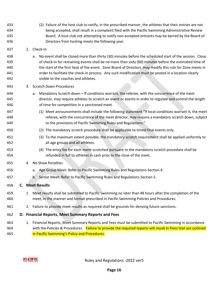(2) Failure of the host club to notify, in the prescribed manner, the athletes that their entries are not being accepted, shall result in a complaint filed with the Pacific Swimming Administrative Review Board. A host club not attempting to notify non-accepted entrants may be barred by the Board of Directors from hosting meets the following year. 2. Check-In a. No event shall be closed more than thirty (30) minutes before the scheduled start of the session. Close of check-in for remaining events shall be no more than sixty (60) minutes before the estimated time of the start of the first heat of the event. Zone Board of Directors may modify this rule for Zone meets in order to facilitate the check-in process. Any such modification must be posted in a location clearly visible to the coaches and athletes. 3. Scratch Down Procedures a. Mandatory Scratch-down – If conditions warrant, the referee, with the concurrence of the meet director, may require athletes to scratch an event or events in order to regulate and control the length of time for competition in a sanctioned meet. (1) Meet announcements shall include the following statement "If local conditions warrant it, the meet referee, with the concurrence of the meet director, may require a mandatory scratch down, subject 449 to the provisions of Pacific Swimming Rules and Regulations." (2) The mandatory scratch procedure shall be applicable to timed final events only. (3) To the maximum extent possible, the mandatory scratch requirement shall be applied uniformly to all age groups and all athletes. (4) The entry fee for each event scratched pursuant to the mandatory scratch procedure shall be refunded in full to athletes in cash prior to the close of the meet. 4. No Show Penalties a. Age Group Meet: Refer to Pacific Swimming Rules and Regulations Section 4. b. Senior Meet: Refer to Pacific Swimming Rules and Regulations Section 5. **C. Meet Results** 1. Meet results shall be submitted to Pacific Swimming no later than 48 hours after the completion of the meet, in the manner and format prescribed in Pacific Swimming Policies and Procedures. 2. Failure to provide meet results as required shall be grounds for denying future sanctions. **D. Financial Reports, Meet Summary Reports and Fees** 1. Financial Reports, Meet Summary Reports and Fees must be submitted to Pacific Swimming in accordance 464 with the Policies & Procedures. Failure to provide the required reports will result in fines that are outlined in Pacific Swimming's Policy and Procedures.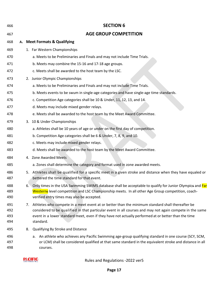<span id="page-17-0"></span>

| 466        |    |    | <b>SECTION 6</b>                                                                                                                                |
|------------|----|----|-------------------------------------------------------------------------------------------------------------------------------------------------|
| 467        |    |    | <b>AGE GROUP COMPETITION</b>                                                                                                                    |
| 468        | А. |    | <b>Meet Formats &amp; Qualifying</b>                                                                                                            |
| 469        |    |    | 1. Far Western Championships                                                                                                                    |
| 470        |    |    | a. Meets to be Preliminaries and Finals and may not include Time Trials.                                                                        |
| 471        |    |    | b. Meets may combine the 15-16 and 17-18 age groups.                                                                                            |
| 472        |    |    | c. Meets shall be awarded to the host team by the LSC.                                                                                          |
| 473        |    |    | 2. Junior Olympic Championships                                                                                                                 |
| 474        |    |    | a. Meets to be Preliminaries and Finals and may not include Time Trials.                                                                        |
| 475        |    |    | b. Meets events to be swum in single-age categories and have single-age time standards.                                                         |
| 476        |    |    | c. Competition Age categories shall be 10 & Under, 11, 12, 13, and 14.                                                                          |
| 477        |    |    | d. Meets may include mixed gender relays.                                                                                                       |
| 478        |    |    | e. Meets shall be awarded to the host team by the Meet Award Committee.                                                                         |
| 479        |    |    | 3. 10 & Under Championships                                                                                                                     |
| 480        |    |    | a. Athletes shall be 10 years of age or under on the first day of competition.                                                                  |
| 481        |    |    | b. Competition Age categories shall be 6 & Under, 7, 8, 9, and 10.                                                                              |
| 482        |    |    | c. Meets may include mixed gender relays.                                                                                                       |
| 483        |    |    | d. Meets shall be awarded to the host team by the Meet Award Committee.                                                                         |
| 484        |    |    | 4. Zone Awarded Meets                                                                                                                           |
| 485        |    |    | a. Zones shall determine the category and format used in zone awarded meets.                                                                    |
| 486        |    |    | 5. Athletes shall be qualified for a specific meet in a given stroke and distance when they have equaled or                                     |
| 487        |    |    | bettered the time standard for that event.                                                                                                      |
| 488        |    |    | Only times in the USA Swimming SWIMS database shall be acceptable to qualify for Junior Olympics and Far                                        |
| 489<br>490 |    |    | Westerns level competition and LSC Championship meets. In all other Age Group competition, coach-<br>verified entry times may also be accepted. |
| 491        |    | 7. | Athletes who compete in a meet event at or better than the minimum standard shall thereafter be                                                 |
| 492        |    |    | considered to be qualified in that particular event in all courses and may not again compete in the same                                        |
| 493        |    |    | event in a lower standard meet, even if they have not actually performed at or better than the time                                             |
| 494        |    |    | standard.                                                                                                                                       |
| 495        |    |    | 8. Qualifying By Stroke and Distance                                                                                                            |
| 496        |    |    | a. An athlete who achieves any Pacific Swimming age-group qualifying standard in one course (SCY, SCM,                                          |
| 497<br>498 |    |    | or LCM) shall be considered qualified at that same standard in the equivalent stroke and distance in all<br>courses.                            |
|            |    |    |                                                                                                                                                 |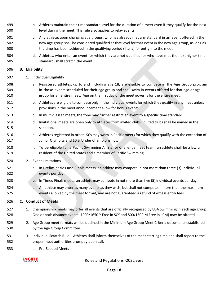| 499<br>500        |    | b. Athletes maintain their time standard level for the duration of a meet even if they qualify for the next<br>level during the meet. This rule also applies to relay events.                                                                                                                                  |  |
|-------------------|----|----------------------------------------------------------------------------------------------------------------------------------------------------------------------------------------------------------------------------------------------------------------------------------------------------------------|--|
| 501<br>502<br>503 |    | Any athlete, upon changing age groups, who has already met any standard in an event offered in the<br>c.<br>new age group shall be considered qualified at that level for that event in the new age group, as long as<br>the time has been achieved in the qualifying period (if any) for entry into the meet. |  |
| 504<br>505        |    | d. Athletes, who enter an event for which they are not qualified, or who have met the next higher time<br>standard, shall scratch the event.                                                                                                                                                                   |  |
| 506               |    | <b>B.</b> Eligibility                                                                                                                                                                                                                                                                                          |  |
| 507               |    | 1. Individual Eligibility                                                                                                                                                                                                                                                                                      |  |
| 508<br>509<br>510 |    | Registered athletes, up to and including age 18, are eligible to compete in the Age Group program<br>а.<br>in those events scheduled for their age group and shall swim in events offered for that age or age<br>group for an entire meet. Age on the first day of the meet governs for the entire meet.       |  |
| 511<br>512        |    | b. Athletes are eligible to compete only in the individual events for which they qualify in any meet unless<br>provisions in the meet announcement allow for bonus events.                                                                                                                                     |  |
| 513               |    | In multi-classed meets, the zone may further restrict an event to a specific time standard.<br>c.                                                                                                                                                                                                              |  |
| 514<br>515        |    | Invitational meets are open only to athletes from invited clubs. Invited clubs shall be named in the<br>d.<br>sanction.                                                                                                                                                                                        |  |
| 516<br>517        |    | e. Athletes registered in other LSCs may swim in Pacific meets for which they qualify with the exception of<br>Junior Olympics and 10 & Under Championships.                                                                                                                                                   |  |
| 518<br>519        |    | To be eligible for a Pacific Swimming All Star or Challenge meet team, an athlete shall be a lawful<br>f.<br>resident of the United States and a member of Pacific Swimming.                                                                                                                                   |  |
| 520               | 2. | <b>Event Limitations</b>                                                                                                                                                                                                                                                                                       |  |
| 521<br>522        |    | In Preliminaries and Finals meets, an athlete may compete in not more than three (3) individual<br>а.<br>events per day.                                                                                                                                                                                       |  |
| 523               |    | b. In Timed Finals meets, an athlete may compete in not more than five (5) individual events per day.                                                                                                                                                                                                          |  |
| 524<br>525        |    | An athlete may enter as many events as they wish, but shall not compete in more than the maximum<br>c.<br>events allowed by the meet format, and are not guaranteed a refund of excess entry fees.                                                                                                             |  |
| 526               |    | <b>C.</b> Conduct of Meets                                                                                                                                                                                                                                                                                     |  |
| 527<br>528        |    | 1. Championship meets may offer all events that are officially recognized by USA Swimming in each age group.<br>One or both distance events (1000/1650 Y Free in SCY and 800/1500 M Free in LCM) may be offered.                                                                                               |  |
| 529<br>530        |    | 2. Age Group meet formats will be outlined in the Minimum Age Group Meet Criteria documents established<br>by the Age Group Committee.                                                                                                                                                                         |  |
| 531<br>532        | 3. | Individual Scratch Rule - Athletes shall inform themselves of the meet starting time and shall report to the<br>proper meet authorities promptly upon call.                                                                                                                                                    |  |
| 533               |    | a. Pre-Seeded Meets                                                                                                                                                                                                                                                                                            |  |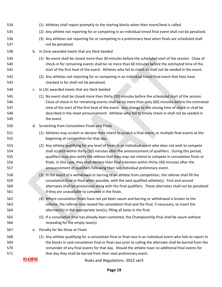| 568        |    | (1) Any athlete qualifying for a consolation final or final race in an individual event who fails to report to                                                                                                |  |
|------------|----|---------------------------------------------------------------------------------------------------------------------------------------------------------------------------------------------------------------|--|
| 567        | e. | Penalty for No-Show at Finals                                                                                                                                                                                 |  |
| 565<br>566 |    | (5) If a consolation final has already been contested, the Championship final shall be swum without<br>reseeding for the empty lane(s).                                                                       |  |
| 564        |    | alternate(s) in the appropriate lane(s), filling all lanes in the final.                                                                                                                                      |  |
| 562<br>563 |    | (4) Where consolation finals have not yet been swum and barring or withdrawal is known to the<br>referee, the referee may reseed the consolation final and the final, if necessary, to insert the             |  |
| 560<br>561 |    | alternates shall be announced along with the final qualifiers. These alternates shall not be penalized<br>if they are unavailable to compete in the finals.                                                   |  |
| 558<br>559 |    | (3) In the event of a withdrawal or barring of an athlete from competition, the referee shall fill the<br>consolation final or final when possible, with the next qualified athlete(s). First and second      |  |
| 557        |    | announcement of qualifiers following their last individual preliminary event.                                                                                                                                 |  |
| 556        |    | finals. In this case, they shall declare their final intention within thirty (30) minutes after the                                                                                                           |  |
| 554<br>555 |    | shall scratch within thirty (30) minutes after the announcement of qualifiers. During this period,<br>qualifiers may also notify the referee that they may not intend to compete in consolation finals or     |  |
| 553        |    | (2) Any athlete qualifying for any level of finals in an individual event who does not wish to compete                                                                                                        |  |
| 552        |    | beginning of competition for that day.                                                                                                                                                                        |  |
| 550<br>551 |    | d. Scratching from Consolation Finals and Finals<br>(1) Athletes may scratch or declare their intent to scratch a final event, or multiple final events at the                                                |  |
| 549        |    | the event.                                                                                                                                                                                                    |  |
| 548        |    | described in the meet announcement. Athletes who fail to timely check-in shall not be seeded in                                                                                                               |  |
| 547        |    | time of the start of the first heat of the event. Any change to the closing time of check-in shall be                                                                                                         |  |
| 545<br>546 |    | (1) No event shall be closed more than thirty (30) minutes before the scheduled start of the session.<br>Close of check-in for remaining events shall be no more than sixty (60) minutes before the estimated |  |
| 544        | c. | In LSC awarded meets that are Deck Seeded                                                                                                                                                                     |  |
| 542<br>543 |    | (2) Any athletes not reporting for or competing in an individual timed final event that they have<br>checked in for shall not be penalized.                                                                   |  |
| 540<br>541 |    | check-in for remaining events shall be no more than 60 minutes before the estimated time of the<br>start of the first heat of the event. Athletes who fail to check-in shall not be seeded in the event.      |  |
| 538<br>539 |    | b. In Zone awarded meets that are Deck Seeded<br>(1) No event shall be closed more than 30 minutes before the scheduled start of the session. Close of                                                        |  |
| 537        |    | not be penalized.                                                                                                                                                                                             |  |
| 536        |    | (3) Any athletes not reporting for or competing in a preliminary heat when finals are scheduled shall                                                                                                         |  |
| 535        |    | (2) Any athlete not reporting for or competing in an individual timed final event shall not be penalized.                                                                                                     |  |
| 534        |    | (1) Athletes shall report promptly to the starting blocks when their event/heat is called.                                                                                                                    |  |

```
Page 19
```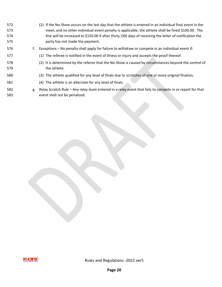- (2) If the No-Show occurs on the last day that the athlete is entered in an individual final event in the meet, and no other individual event penalty is applicable, the athlete shall be fined \$100.00. The fine will be increased to \$150.00 if after thirty (30) days of receiving the letter of notification the party has not made the payment.
- f. Exceptions No penalty shall apply for failure to withdraw or compete in an individual event if:
- (1) The referee is notified in the event of illness or injury and accepts the proof thereof.
- (2) It is determined by the referee that the No-Show is caused by circumstances beyond the control of the athlete.
- (3) The athlete qualified for any level of finals due to scratches of one or more original finalists.
- (4) The athlete is an alternate for any level of finals.
- g. Relay Scratch Rule Any relay team entered in a relay event that fails to compete in or report for that event shall not be penalized.

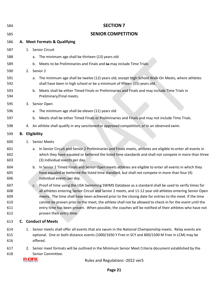<span id="page-21-0"></span>

| 584                                    |                       | <b>SECTION 7</b>                                                                                                                                                                                                                                                                                                                                                                                                                                                                                                                                                              |
|----------------------------------------|-----------------------|-------------------------------------------------------------------------------------------------------------------------------------------------------------------------------------------------------------------------------------------------------------------------------------------------------------------------------------------------------------------------------------------------------------------------------------------------------------------------------------------------------------------------------------------------------------------------------|
| 585                                    |                       | <b>SENIOR COMPETITION</b>                                                                                                                                                                                                                                                                                                                                                                                                                                                                                                                                                     |
| 586                                    |                       | A. Meet Formats & Qualifying                                                                                                                                                                                                                                                                                                                                                                                                                                                                                                                                                  |
| 587                                    |                       | 1. Senior Circuit                                                                                                                                                                                                                                                                                                                                                                                                                                                                                                                                                             |
| 588                                    |                       | The minimum age shall be thirteen (13) years old<br>а.                                                                                                                                                                                                                                                                                                                                                                                                                                                                                                                        |
| 589                                    |                       | Meets to be Preliminaries and Finals and to may include Time Trials<br>b.                                                                                                                                                                                                                                                                                                                                                                                                                                                                                                     |
| 590                                    |                       | 2. Senior 2                                                                                                                                                                                                                                                                                                                                                                                                                                                                                                                                                                   |
| 591<br>592                             |                       | The minimum age shall be twelve (12) years old, except High School Walk-On Meets, where athletes<br>а.<br>shall have been in high school or be a minimum of fifteen (15) years old.                                                                                                                                                                                                                                                                                                                                                                                           |
| 593<br>594                             |                       | Meets shall be either Timed Finals or Preliminaries and Finals and may include Time Trials in<br>b.<br>Preliminary/Final meets.                                                                                                                                                                                                                                                                                                                                                                                                                                               |
| 595                                    |                       | 3. Senior Open                                                                                                                                                                                                                                                                                                                                                                                                                                                                                                                                                                |
| 596                                    |                       | The minimum age shall be eleven (11) years old<br>а.                                                                                                                                                                                                                                                                                                                                                                                                                                                                                                                          |
| 597                                    |                       | Meets shall be either Timed Finals or Preliminaries and Finals and may not include Time Trials.<br>b.                                                                                                                                                                                                                                                                                                                                                                                                                                                                         |
| 598                                    |                       | 4. An athlete shall qualify in any sanctioned or approved competition, or in an observed swim.                                                                                                                                                                                                                                                                                                                                                                                                                                                                                |
| 599                                    | <b>B.</b> Eligibility |                                                                                                                                                                                                                                                                                                                                                                                                                                                                                                                                                                               |
| 600                                    | 1.                    | <b>Senior Meets</b>                                                                                                                                                                                                                                                                                                                                                                                                                                                                                                                                                           |
| 601<br>602<br>603                      |                       | In Senior Circuit and Senior 2 Preliminaries and Finals meets, athletes are eligible to enter all events in<br>а.<br>which they have equaled or bettered the listed time standards and shall not compete in more than three<br>(3) individual events per day.                                                                                                                                                                                                                                                                                                                 |
| 604<br>605<br>606                      |                       | In Senior 2 Timed Finals and Senior Open meets athletes are eligible to enter all events in which they<br>b.<br>have equaled or bettered the listed time standard, but shall not compete in more than four (4)<br>individual events per day.                                                                                                                                                                                                                                                                                                                                  |
| 607<br>608<br>609<br>610<br>611<br>612 |                       | Proof of time using the USA Swimming SWIMS Database as a standard shall be used to verify times for<br>all athletes entering Senior Circuit and Senior 2 meets, and 11-12 year old athletes entering Senior Open<br>meets. The time shall have been achieved prior to the closing date for entries to the meet. If the time<br>cannot be proven prior to the meet, the athlete shall not be allowed to check-in for the event until the<br>entry time has been proven. When possible, the coaches will be notified of their athletes who have not<br>proven their entry time. |
| 613                                    |                       | <b>C.</b> Conduct of Meets                                                                                                                                                                                                                                                                                                                                                                                                                                                                                                                                                    |
| 614<br>615<br>616                      |                       | 1. Senior meets shall offer all events that are swum in the National Championship meets. Relay events are<br>optional. One or both distance events (1000/1650 Y Free in SCY and 800/1500 M Free in LCM) may be<br>offered.                                                                                                                                                                                                                                                                                                                                                    |
| 617<br>618                             | 2.                    | Senior meet formats will be outlined in the Minimum Senior Meet Criteria document established by the<br>Senior Committee.                                                                                                                                                                                                                                                                                                                                                                                                                                                     |
|                                        |                       | <b>PARCIFIC</b><br>Rules and Regulations -2022 ver5                                                                                                                                                                                                                                                                                                                                                                                                                                                                                                                           |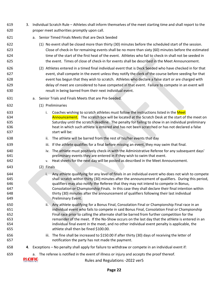| 619<br>620                             | 3.                                                                                                                                                                                                                                                                                                                                                                                                                                                                                                                                           |  | Individual Scratch Rule - Athletes shall inform themselves of the meet starting time and shall report to the<br>proper meet authorities promptly upon call.                                                                                                                                                                                                                                                                                                                                                            |  |
|----------------------------------------|----------------------------------------------------------------------------------------------------------------------------------------------------------------------------------------------------------------------------------------------------------------------------------------------------------------------------------------------------------------------------------------------------------------------------------------------------------------------------------------------------------------------------------------------|--|------------------------------------------------------------------------------------------------------------------------------------------------------------------------------------------------------------------------------------------------------------------------------------------------------------------------------------------------------------------------------------------------------------------------------------------------------------------------------------------------------------------------|--|
| 621                                    |                                                                                                                                                                                                                                                                                                                                                                                                                                                                                                                                              |  | a. Senior Timed Finals Meets that are Deck Seeded                                                                                                                                                                                                                                                                                                                                                                                                                                                                      |  |
| 622<br>623<br>624<br>625               |                                                                                                                                                                                                                                                                                                                                                                                                                                                                                                                                              |  | (1) No event shall be closed more than thirty (30) minutes before the scheduled start of the session.<br>Close of check-in for remaining events shall be no more than sixty (60) minutes before the estimated<br>time of the start of the first heat of the event. Athletes who fail to check-in shall not be seeded in<br>the event. Times of close of check-in for events shall be described in the Meet Announcement.                                                                                               |  |
| 626<br>627<br>628<br>629<br>630        | (2) Athletes entered in a timed final individual event that is Deck Seeded who have checked in for that<br>event, shall compete in the event unless they notify the clerk of the course before seeding for that<br>event has begun that they wish to scratch. Athletes who declare a false start or are charged with<br>delay of meet are considered to have competed in that event. Failure to compete in an event will<br>result in being barred from their next individual event.                                                         |  |                                                                                                                                                                                                                                                                                                                                                                                                                                                                                                                        |  |
| 631                                    |                                                                                                                                                                                                                                                                                                                                                                                                                                                                                                                                              |  | a. Senior Trials and Finals Meets that are Pre-Seeded.                                                                                                                                                                                                                                                                                                                                                                                                                                                                 |  |
| 632                                    |                                                                                                                                                                                                                                                                                                                                                                                                                                                                                                                                              |  | (1) Preliminaries                                                                                                                                                                                                                                                                                                                                                                                                                                                                                                      |  |
| 633<br>634<br>635<br>636<br>637        |                                                                                                                                                                                                                                                                                                                                                                                                                                                                                                                                              |  | Coaches wishing to scratch athletes must follow the instructions listed in the Meet<br>i.<br>Announcement. The scratch box will be located at the Scratch Desk at the start of the meet on<br>Saturday until the scratch deadline. The penalty for failing to show in an individual preliminary<br>heat in which such athlete is entered and has not been scratched or has not declared a false<br>start will be:                                                                                                      |  |
| 638                                    |                                                                                                                                                                                                                                                                                                                                                                                                                                                                                                                                              |  | The athlete will be barred from the rest of his/her events that day<br>ii.                                                                                                                                                                                                                                                                                                                                                                                                                                             |  |
| 639                                    |                                                                                                                                                                                                                                                                                                                                                                                                                                                                                                                                              |  | If the athlete qualifies for a final before missing an event, they may swim that final.<br>iii.                                                                                                                                                                                                                                                                                                                                                                                                                        |  |
| 640<br>641<br>642                      |                                                                                                                                                                                                                                                                                                                                                                                                                                                                                                                                              |  | iv. The athlete must positively check-in with the Administrative Referee for any subsequent days'<br>preliminary events they are entered in if they wish to swim that event.<br>Heat sheets for the next day will be posted as described in the Meet Announcement.<br>v.                                                                                                                                                                                                                                               |  |
| 643                                    |                                                                                                                                                                                                                                                                                                                                                                                                                                                                                                                                              |  | (2) Finals                                                                                                                                                                                                                                                                                                                                                                                                                                                                                                             |  |
| 644<br>645<br>646<br>647<br>648<br>649 |                                                                                                                                                                                                                                                                                                                                                                                                                                                                                                                                              |  | Any athlete qualifying for any level of finals in an individual event who does not wish to compete<br>shall scratch within thirty (30) minutes after the announcement of qualifiers. During this period,<br>qualifiers may also notify the Referee that they may not intend to compete in Bonus,<br>Consolation or Championship Finals. In this case they shall declare their final intention within<br>thirty (30) minutes after the announcement of qualifiers following their last individual<br>Preliminary Event. |  |
| 650<br>651<br>652<br>653<br>654<br>655 | Any athlete qualifying for a Bonus Final, Consolation Final or Championship Final race in an<br>ii.<br>individual event who fails to compete in said Bonus Final, Consolation Final or Championship<br>Final race prior to calling the alternate shall be barred from further competition for the<br>remainder of the meet. If the No-Show occurs on the last day that the athlete is entered in an<br>individual final event in the meet, and no other individual event penalty is applicable, the<br>athlete shall then be fined \$100.00. |  |                                                                                                                                                                                                                                                                                                                                                                                                                                                                                                                        |  |
| 656<br>657                             |                                                                                                                                                                                                                                                                                                                                                                                                                                                                                                                                              |  | iii. The fine shall be increased to \$150.00 if after thirty (30) days of receiving the letter of<br>notification the party has not made the payment.                                                                                                                                                                                                                                                                                                                                                                  |  |
| 658                                    | 4.                                                                                                                                                                                                                                                                                                                                                                                                                                                                                                                                           |  | Exceptions – No penalty shall apply for failure to withdraw or compete in an individual event if:                                                                                                                                                                                                                                                                                                                                                                                                                      |  |
| 659                                    |                                                                                                                                                                                                                                                                                                                                                                                                                                                                                                                                              |  | a. The referee is notified in the event of illness or injury and accepts the proof thereof.                                                                                                                                                                                                                                                                                                                                                                                                                            |  |
|                                        | <b>PANCIFIC</b>                                                                                                                                                                                                                                                                                                                                                                                                                                                                                                                              |  | Rules and Regulations -2022 ver5                                                                                                                                                                                                                                                                                                                                                                                                                                                                                       |  |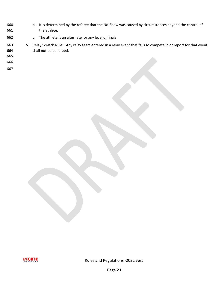- b. It is determined by the referee that the No-Show was caused by circumstances beyond the control of 661 the athlete.
- c. The athlete is an alternate for any level of finals
- **5**. Relay Scratch Rule Any relay team entered in a relay event that fails to compete in or report for that event shall not be penalized.
- 
- 
- 

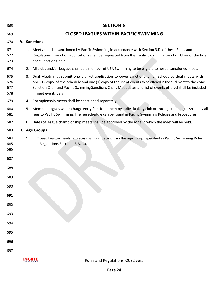<span id="page-24-0"></span>

| 668                      | <b>SECTION 8</b>                              |    |                                                                                                                                                                                                                                                                                                                                                              |  |
|--------------------------|-----------------------------------------------|----|--------------------------------------------------------------------------------------------------------------------------------------------------------------------------------------------------------------------------------------------------------------------------------------------------------------------------------------------------------------|--|
| 669                      | <b>CLOSED LEAGUES WITHIN PACIFIC SWIMMING</b> |    |                                                                                                                                                                                                                                                                                                                                                              |  |
| 670                      |                                               |    | A. Sanctions                                                                                                                                                                                                                                                                                                                                                 |  |
| 671<br>672<br>673        |                                               |    | 1. Meets shall be sanctioned by Pacific Swimming in accordance with Section 3.D. of these Rules and<br>Regulations. Sanction applications shall be requested from the Pacific Swimming Sanction Chair or the local<br>Zone Sanction Chair                                                                                                                    |  |
| 674                      |                                               |    | 2. All clubs and/or leagues shall be a member of USA Swimming to be eligible to host a sanctioned meet.                                                                                                                                                                                                                                                      |  |
| 675<br>676<br>677<br>678 |                                               | 3. | Dual Meets may submit one blanket application to cover sanctions for all scheduled dual meets with<br>one (1) copy of the schedule and one (1) copy of the list of events to be offered in the dual meet to the Zone<br>Sanction Chair and Pacific Swimming Sanctions Chair. Meet dates and list of events offered shall be included<br>if meet events vary. |  |
| 679                      |                                               | 4. | Championship meets shall be sanctioned separately.                                                                                                                                                                                                                                                                                                           |  |
| 680<br>681               |                                               | 5. | Member leagues which charge entry fees for a meet by individual, by club or through the league shall pay all<br>fees to Pacific Swimming. The fee schedule can be found in Pacific Swimming Policies and Procedures.                                                                                                                                         |  |
| 682                      |                                               | 6. | Dates of league championship meets shall be approved by the zone in which the meet will be held.                                                                                                                                                                                                                                                             |  |
| 683                      | <b>B.</b> Age Groups                          |    |                                                                                                                                                                                                                                                                                                                                                              |  |
| 684<br>685<br>686        |                                               |    | 1. In Closed League meets, athletes shall compete within the age groups specified in Pacific Swimming Rules<br>and Regulations Sections 3.B.1.a.                                                                                                                                                                                                             |  |
| 687                      |                                               |    |                                                                                                                                                                                                                                                                                                                                                              |  |
| 688                      |                                               |    |                                                                                                                                                                                                                                                                                                                                                              |  |
| 689                      |                                               |    |                                                                                                                                                                                                                                                                                                                                                              |  |
| 690                      |                                               |    |                                                                                                                                                                                                                                                                                                                                                              |  |
| 691                      |                                               |    |                                                                                                                                                                                                                                                                                                                                                              |  |
| 692                      |                                               |    |                                                                                                                                                                                                                                                                                                                                                              |  |
| 693                      |                                               |    |                                                                                                                                                                                                                                                                                                                                                              |  |
| 694                      |                                               |    |                                                                                                                                                                                                                                                                                                                                                              |  |
| 695                      |                                               |    |                                                                                                                                                                                                                                                                                                                                                              |  |
| 696                      |                                               |    |                                                                                                                                                                                                                                                                                                                                                              |  |
| 697                      |                                               |    |                                                                                                                                                                                                                                                                                                                                                              |  |
|                          |                                               |    | <b>PACIFIC</b><br>Rules and Regulations -2022 ver5                                                                                                                                                                                                                                                                                                           |  |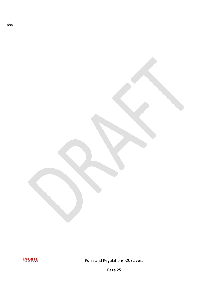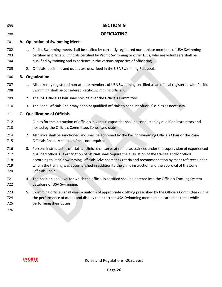<span id="page-26-1"></span><span id="page-26-0"></span>

| 699                             |    |    | <b>SECTION 9</b>                                                                                                                                                                                                                                                                                                                                                                                                                                                       |
|---------------------------------|----|----|------------------------------------------------------------------------------------------------------------------------------------------------------------------------------------------------------------------------------------------------------------------------------------------------------------------------------------------------------------------------------------------------------------------------------------------------------------------------|
| 700                             |    |    | <b>OFFICIATING</b>                                                                                                                                                                                                                                                                                                                                                                                                                                                     |
| 701                             |    |    | A. Operation of Swimming Meets                                                                                                                                                                                                                                                                                                                                                                                                                                         |
| 702<br>703<br>704               |    |    | 1. Pacific Swimming meets shall be staffed by currently registered non-athlete members of USA Swimming<br>certified as officials. Officials certified by Pacific Swimming or other LSCs, who are volunteers shall be<br>qualified by training and experience in the various capacities of officiating.                                                                                                                                                                 |
| 705                             |    |    | 2. Officials' positions and duties are described in the USA Swimming Rulebook.                                                                                                                                                                                                                                                                                                                                                                                         |
| 706                             |    |    | <b>B.</b> Organization                                                                                                                                                                                                                                                                                                                                                                                                                                                 |
| 707<br>708                      |    |    | 1. All currently registered non-athlete members of USA Swimming certified as an official registered with Pacific<br>Swimming shall be considered Pacific Swimming officials.                                                                                                                                                                                                                                                                                           |
| 709                             |    | 2. | The LSC Officials Chair shall preside over the Officials Committee.                                                                                                                                                                                                                                                                                                                                                                                                    |
| 710                             |    | 3. | The Zone Officials Chair may appoint qualified officials to conduct officials' clinics as necessary.                                                                                                                                                                                                                                                                                                                                                                   |
| 711                             | C. |    | <b>Qualification of Officials</b>                                                                                                                                                                                                                                                                                                                                                                                                                                      |
| 712<br>713                      |    | 1. | Clinics for the instruction of officials in various capacities shall be conducted by qualified instructors and<br>hosted by the Officials Committee, Zones, and clubs.                                                                                                                                                                                                                                                                                                 |
| 714<br>715                      |    |    | 2. All clinics shall be sanctioned and shall be approved by the Pacific Swimming Officials Chair or the Zone<br>Officials Chair. A sanction fee is not required.                                                                                                                                                                                                                                                                                                       |
| 716<br>717<br>718<br>719<br>720 |    | 3. | Persons instructed as officials at clinics shall serve at meets as trainees under the supervision of experienced<br>qualified officials. Certification of officials shall require the evaluation of the trainee and/or official<br>according to Pacific Swimming Officials Advancement Criteria and recommendation by meet referees under<br>whom the training was accomplished in addition to the clinic instruction and the approval of the Zone<br>Officials Chair. |
| 721<br>722                      |    |    | 4. The position and level for which the official is certified shall be entered into the Officials Tracking System<br>database of USA Swimming.                                                                                                                                                                                                                                                                                                                         |
| 723<br>724<br>725<br>726        |    | 5. | Swimming officials shall wear a uniform of appropriate clothing prescribed by the Officials Committee during<br>the performance of duties and display their current USA Swimming membership card at all times while<br>performing their duties.                                                                                                                                                                                                                        |
|                                 |    |    |                                                                                                                                                                                                                                                                                                                                                                                                                                                                        |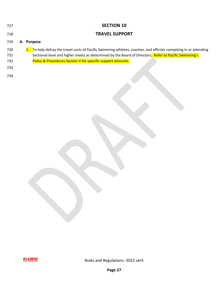<span id="page-27-0"></span>

| 727 | <b>SECTION 10</b>                                                                                              |
|-----|----------------------------------------------------------------------------------------------------------------|
| 728 | <b>TRAVEL SUPPORT</b>                                                                                          |
| 729 | A. Purpose                                                                                                     |
| 730 | To help defray the travel costs of Pacific Swimming athletes, coaches, and officials competing in or attending |
| 731 | Sectional level and higher meets as determined by the Board of Directors. Refer to Pacific Swimming's          |
| 732 | Policy & Procedures Section V for specific support amounts.                                                    |
| 733 |                                                                                                                |
| 734 |                                                                                                                |

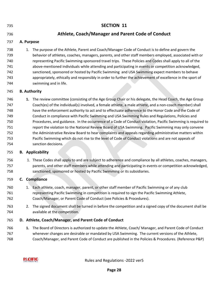| 735 | <b>SECTION 11</b>                                                                                        |
|-----|----------------------------------------------------------------------------------------------------------|
| 736 | Athlete, Coach/Manager and Parent Code of Conduct                                                        |
| 737 | A. Purpose                                                                                               |
| 738 | 1. The purpose of the Athlete, Parent and Coach/Manager Code of Conduct is to define and govern the      |
| 739 | behavior of athletes, coaches, managers, parents, and other staff members employed, associated with or   |
| 740 | representing Pacific Swimming-sponsored travel trips. These Policies and Codes shall apply to all of the |

 above-mentioned individuals while attending and participating in events or competition acknowledged, sanctioned, sponsored or hosted by Pacific Swimming and USA Swimming expect members to behave appropriately, ethically and responsibly in order to further the achievement of excellence in the sport of swimming and in life.

# **B. Authority**

 **1.** The review committee (consisting of the Age Group Chair or his delegate, the Head Coach, the Age Group Coach(es) of the individual(s) involved, a female athlete, a male athlete, and a non-coach member) shall have the enforcement authority to act and to effectuate adherence to the Honor Code and the Code of Conduct in compliance with Pacific Swimming and USA Swimming Rules and Regulations, Policies and Procedures, and guidance. In the occurrence of a Code of Conduct violation, Pacific Swimming is required to 751 report the violation to the National Review Board of USA Swimming. Pacific Swimming may only convene 752 the Administrative Review Board to hear complaints and appeals regarding administrative matters within Pacific Swimming which do not rise to the level of Code of Conduct violations and are not appeals of sanction decisions.

# **B. Applicability**

 1. These Codes shall apply to and are subject to adherence and compliance by all athletes, coaches, managers, parents, and other staff members while attending and participating in events or competition acknowledged, sanctioned, sponsored or hosted by Pacific Swimming or its subsidiaries.

# **C. Compliance**

- 1. Each athlete, coach, manager, parent, or other staff member of Pacific Swimming or of any club representing Pacific Swimming in competition is required to sign the Pacific Swimming Athlete, Coach/Manager, or Parent Code of Conduct (see Policies & Procedures).
- 2. The signed document shall be turned in before the competition and a signed copy of the document shall be available at the competition.

# **D. Athlete, Coach/Manager, and Parent Code of Conduct**

 **1.** The Board of Directors is authorized to update the Athlete, Coach/ Manager, and Parent Code of Conduct whenever changes are desirable or mandated by USA Swimming. The current versions of the Athlete, Coach/Manager, and Parent Code of Conduct are published in the Policies & Procedures. (Reference P&P)

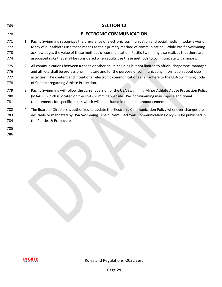<span id="page-29-0"></span>

| 769                      |    | <b>SECTION 12</b>                                                                                                                                                                                                                                                                                                                                                                                                                    |
|--------------------------|----|--------------------------------------------------------------------------------------------------------------------------------------------------------------------------------------------------------------------------------------------------------------------------------------------------------------------------------------------------------------------------------------------------------------------------------------|
| 770                      |    | <b>ELECTRONIC COMMUNICATION</b>                                                                                                                                                                                                                                                                                                                                                                                                      |
| 771<br>772<br>773<br>774 | 1. | Pacific Swimming recognizes the prevalence of electronic communication and social media in today's world.<br>Many of our athletes use these means as their primary method of communication. While Pacific Swimming<br>acknowledges the value of these methods of communication, Pacific Swimming also realizes that there are<br>associated risks that shall be considered when adults use these methods to communicate with minors. |
| 775<br>776<br>777<br>778 |    | 2. All communications between a coach or other adult including but not limited to official chaperone, manager<br>and athlete shall be professional in nature and for the purpose of communicating information about club<br>activities. The content and intent of all electronic communications shall adhere to the USA Swimming Code<br>of Conduct regarding Athlete Protection.                                                    |
| 779<br>780<br>781        |    | 3. Pacific Swimming will follow the current version of the USA Swimming Minor Athlete Abuse Protection Policy<br>(MAAPP) which is located on the USA-Swimming website. Pacific Swimming may impose additional<br>requirements for specific meets which will be included in the meet announcement.                                                                                                                                    |
| 782<br>783<br>784        | 4. | The Board of Directors is authorized to update the Electronic Communication Policy whenever changes are<br>desirable or mandated by USA Swimming. The current Electronic Communication Policy will be published in<br>the Policies & Procedures.                                                                                                                                                                                     |
| 785<br>786               |    |                                                                                                                                                                                                                                                                                                                                                                                                                                      |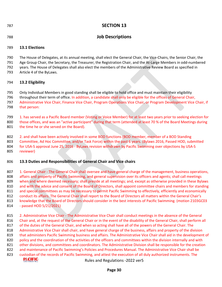| 787                      | <b>SECTION 13</b>                                                                                                                                                                                                                                                                                                                                                                    |
|--------------------------|--------------------------------------------------------------------------------------------------------------------------------------------------------------------------------------------------------------------------------------------------------------------------------------------------------------------------------------------------------------------------------------|
| 788                      | <b>Job Descriptions</b>                                                                                                                                                                                                                                                                                                                                                              |
| 789                      | <b>13.1 Elections</b>                                                                                                                                                                                                                                                                                                                                                                |
| 790<br>791<br>792<br>793 | The House of Delegates, at its annual meeting, shall elect the General Chair, the Vice-Chairs, the Senior Chair, the<br>Age Group Chair, the Secretary, the Treasurer, the Registration Chair, and the At-Large Members in odd-numbered<br>years. The House of Delegates shall also elect the members of the Administrative Review Board as specified in<br>Article 4 of the ByLaws. |
| 794                      | 13.2 Eligibility                                                                                                                                                                                                                                                                                                                                                                     |
| 70 E                     | Only Individual Mombors in good standing shall be oligible to hold office and must maintain thoir oligibility                                                                                                                                                                                                                                                                        |

 Only Individual Members in good standing shall be eligible to hold office and must maintain their eligibility throughout their term of office. In addition, a candidate shall only be eligible for the offices of General Chair,

 Administrative Vice Chair, Finance Vice Chair, Program Operations Vice Chair, or Program Development Vice Chair, if that person:

 1. has served as a Pacific Board member (Voting or Voice Member) for at least two years prior to seeking election for 800 those offices, and was an "active participant" during that term (attended at least 70 % of the Board Meetings during 801 the time he or she served on the Board).

802 2. and shall have been actively involved in some BOD functions (BOD member, member of a BOD Standing Committee, Ad Hoc Committee, and/or Task Force) within the past 6 years. (Bylaws 2016, Passed HOD, submitted for USA-S approval June 25, 2016 - ByLaws revision withdrawn by Pacific Swimming over objections by USA-S reviewer)

# **13.3 Duties and Responsibilities of General Chair and Vice chairs**

807 1. General Chair - The General Chair shall oversee and have general charge of the management, business operations, 808 affairs and property of Pacific Swimming, and general supervision over its officers and agents; shall call meetings 809 when and where deemed necessary; shall preside at all meetings; and, except as otherwise provided in these Bylaws 810 and with the advice and consent of the Board of Directors, shall appoint committee chairs and members for standing 811 and special committees as may be necessary to permit Pacific Swimming to effectively, efficiently and economically conduct its affairs. The General Chair shall report to the Board of Directors all matters within the General Chair's knowledge that the Board of Directors should consider in the best interests of Pacific Swimming. (motion 2103GC03 - passed HOD 5/21/2021)

 2. Administrative Vice Chair - The Administrative Vice Chair shall conduct meetings in the absence of the General Chair and, at the request of the General Chair or in the event of the disability of the General Chair, shall perform all 817 of the duties of the General Chair, and when so acting shall have all of the powers of the General Chair. The Administrative Vice Chair shall chair, and have general charge of the business, affairs and property of the division 819 that administers Pacific Swimming business and affairs. The Administrative Vice Chair shall aid in the development of 820 policy and the coordination of the activities of the officers and committees within the division internally and with 821 other divisions, and committees and coordinators. The Administrative Division shall be responsible for the creation and maintenance of Pacific Swimming's Policies and Procedures Manual. The Administrative Vice Chair shall be custodian of the records of Pacific Swimming, and attest the execution of all duly authorized instruments. The **ParciFIC**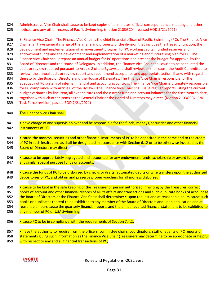824 Administrative Vice Chair shall cause to be kept copies of all minutes, official correspondence, meeting and other 825 notices, and any other records of Pacific Swimming. (motion 2103GC04 - passed HOD 5/21/2021)

826 3. Finance Vice Chair - The Finance Vice Chair is the chief financial officer of Pacific Swimming (PC). The Finance Vice 827 Chair shall have general charge of the affairs and property of the division that includes the Treasury function, the 828 development and implementation of an investment program for PC working capital, funded reserves and 829 endowment funds and the development and implementation of a marketing and fund-raising plan for PC. The 830 Finance Vice Chair shall prepare an annual budget for PC operations and present the budget for approval by the 831 Board of Directors and the House of Delegates. In addition, the Finance Vice Chair shall cause to be conducted the 832 audit or review required pursuant to Article 8 of the ByLaws and shall review, or shall cause the Audit Committee to 833 review, the annual audit or review report and recommend acceptance and appropriate action, if any, with regard 834 thereto by the Board of Directors and the House of Delegates. The Finance Vice Chair is responsible for the 835 adequacy of PC system of internal financial and accounting controls. The Finance Vice Chair is ultimately responsible 836 for PC compliance with Article 8 of the ByLaws. The Finance Vice Chair shall issue regular reports listing the current 837 budget variances by line item, all expenditures and the current fund and account balances for the fiscal year to date, 838 together with such other items as the General Chair or the Board of Directors may direct. (Motion 2103GC04, FNC 839 Task Force revision, passed BOD 7/21/2021)

840 **T**he Finance Vice Chair shall:

841 • have charge of and supervision over and be responsible for the funds, moneys, securities and other financial 842 **instruments of PC;** 

843 • cause the moneys, securities and other financial instruments of PC to be deposited in the name and to the credit 844 of PC in such institutions as shall be designated in accordance with Section 6.12 or to be otherwise invested as the

- 845 Board of Directors may direct;
- 846 cause to be appropriately segregated and accounted for any endowment funds, scholarship or award funds and 847 any similar special purpose funds or accounts;

848 • cause the funds of PC to be disbursed by checks or drafts, automated debits or wire transfers upon the authorized 849 depositories of PC, and obtain and preserve proper vouchers for all moneys disbursed;

850 • cause to be kept in the safe keeping of the Treasurer or person authorized in writing by the Treasurer, correct 851 books of account and other financial records of all its affairs and transactions and such duplicate books of account as 852 the Board of Directors or the Finance Vice Chair shall determine; • upon request and at reasonable hours cause such 853 books or duplicates thereof to be exhibited to any member of the Board of Directors and upon application and at 854 reasonable hours cause the quarterly financial reports and the annual audited financial statement to be exhibited to 855 any member of PC or USA Swimming;

856 • cause PC to be in compliance with the requirements of Section 7.4.2;

857 • have the authority to require from the officers, committee chairs, coordinators, staff or agents of PC reports or 858 statements giving such information as the Finance Vice Chair (Treasurer) may determine to be appropriate or helpful 859 with respect to any and all financial transactions of PC;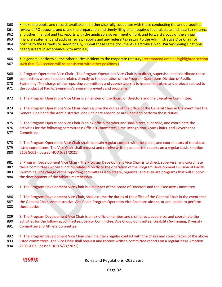860 • make the books and records available and otherwise fully cooperate with those conducting the annual audit or 861 review of PC accounts and cause the preparation and timely filing of all required federal, state and local tax returns, 862 and other financial and tax reports with the applicable government official, and forward a copy of the annual

863 financial statement and audit or review reports and any federal tax return to the Administrative Vice Chair for

- 864 posting to the PC website. Additionally, submit these same documents electronically to USA Swimming's national
- 865 headquarters in accordance with Article 8;

866 • in general, perform all the other duties incident to the corporate treasury (recommend omit all highlighted section 867 such that FVC section will be consistent with other positions.)

868 4. Program Operations Vice Chair - The Program Operations Vice Chair is to direct, supervise, and coordinate those 869 committees whose function relates directly to the operation of the Program Operations Division of Pacific 870 Swimming. The charge of the reporting committees and coordinators is to implement plans and projects related to

871 the conduct of Pacific Swimming's swimming events and programs.

- 872 1. The Program Operations Vice Chair is a member of the Board of Directors and the Executive Committee.
- 873 2. The Program Operations Vice Chair shall assume the duties of the office of the General Chair in the event that the 874 General Chair and the Administrative Vice Chair are absent, or are unable to perform these duties.

875 3. The Program Operations Vice Chair is an ex-officio member and shall direct, supervise, and coordinate the 876 activities for the following committees: Officials Committee, Time Recognition, Zone Chairs, and Governance 877 Committee.

878 4. The Program Operations Vice Chair shall maintain regular contact with the chairs, and coordinators of the above 879 listed committees. The Vice Chair shall request and receive written committee reports on a regular basis. (motion 880 2103GC03 - passed HOD 5/21/2021)

881 5. Program Development Vice Chair - The Program Development Vice Chair is to direct, supervise, and coordinate 882 those committees whose function relates directly to the operation of the Program Development Division of Pacific 883 Swimming. The charge of the reporting committees is to create, organize, and evaluate programs that will support 884 the development of the athlete membership.

- 885 1. The Program Development Vice Chair is a member of the Board of Directors and the Executive Committee.
- 886 2. The Program Development Vice Chair, shall assume the duties of the office of the General Chair in the event that 887 the General Chair, Administrative Vice Chair, Program Operation Vice Chair are absent, or are unable to perform 888 these duties.

889 3. The Program Development Vice Chair is an ex-officio member and shall direct, supervise, and coordinate the 890 activities for the following committees: Senior Committee, Age Group Committee, Disability Swimming, Diversity 891 Committee and Athlete Committee.

892 4. The Program Development Vice Chair shall maintain regular contact with the chairs and coordinators of the above 893 listed committees. The Vice Chair shall request and receive written committee reports on a regular basis. (motion 894 2103GC03 - passed HOD 5/21/2021)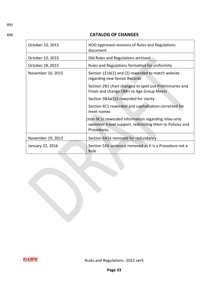# 896 **CATALOG OF CHANGES**

<span id="page-33-0"></span>

| October 10, 2015  | HOD approved revisions of Rules and Regulations<br>document                                                                     |
|-------------------|---------------------------------------------------------------------------------------------------------------------------------|
| October 10, 2015  | Old Rules and Regulations archived                                                                                              |
| October 28, 2015  | Rules and Regulations formatted for uniformity                                                                                  |
| November 16, 2015 | Section 1E1b(1) and (2) reworded to match website<br>regarding new Senior Records                                               |
|                   | Section 2B1 chart changed to spell out Preliminaries and<br>Finals and change CBA+ to Age Group Meets                           |
|                   | Section 3B3a(1)3 reworded for clarity                                                                                           |
|                   | Section 4C1 reworded and capitalization corrected for<br>meet names                                                             |
|                   | ction 9C1c reworded information regarding relay-only<br>swimmer travel support, redirecting them to Policies and<br>Procedures. |
| November 19, 2015 | Section 6A1e removed for redundancy                                                                                             |
| January 22, 2016  | Section 5A5 sentence removed as it is a Procedure not a<br>Rule                                                                 |

895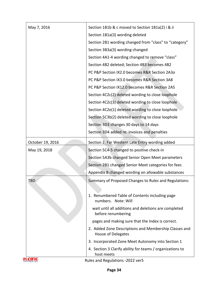| May 7, 2016      | Section 1B1b & c moved to Section 1B1a(2) i & ii                            |
|------------------|-----------------------------------------------------------------------------|
|                  | Section 1B1a(3) wording deleted                                             |
|                  | Section 2B1 wording changed from "class" to "category"                      |
|                  | Section 3B3a(3) wording changed                                             |
|                  | Section 4A1-4 wording changed to remove "class"                             |
|                  | Section 4B2 deleted; Section 4B3 becomes 4B2                                |
|                  | PC P&P Section IX2.0 becomes R&R Section 2A3o                               |
|                  | PC P&P Section IX3.0 becomes R&R Section 3A8                                |
|                  | PC P&P Section IX12.0 becomes R&R Section 2A5                               |
|                  | Section 4C2c(2) deleted wording to close loophole                           |
|                  | Section 4C2c(3) deleted wording to close loophole                           |
|                  | Section 4C2e(1) deleted wording to close loophole                           |
|                  | Section 5C3b(2) deleted wording to close loophole                           |
|                  | Section 3D3 changes 30 days to 14 days                                      |
|                  | Section 3D4 added re: invoices and penalties                                |
| October 19, 2016 | Section 2, Far Western Late Entry wording added                             |
| May 19, 2018     | Section 5C4-5 changed to positive check-in                                  |
|                  | Section 5A3b changed Senior Open Meet parameters                            |
|                  | Section 2B1 changed Senior Meet categories for fees                         |
|                  | Appendix B changed wording on allowable substances                          |
| TBD              | Summary of Proposed Changes to Rules and Regulations:                       |
|                  |                                                                             |
|                  | 1. Renumbered Table of Contents including page<br>numbers. Note: Will       |
|                  | wait until all additions and deletions are completed<br>before renumbering  |
|                  | pages and making sure that the Index is correct.                            |
|                  | 2. Added Zone Descriptions and Membership Classes and<br>House of Delegates |
|                  | 3. Incorporated Zone Meet Autonomy into Section 1                           |
|                  | 4. Section 3 Clarify ability for teams / organizations to<br>host meets     |
|                  | Rules and Regulations -2022 ver5                                            |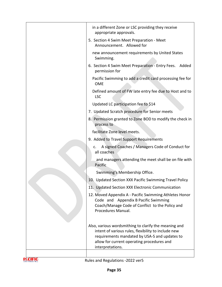| in a different Zone or LSC providing they receive<br>appropriate approvals.                                                                                                                                                     |
|---------------------------------------------------------------------------------------------------------------------------------------------------------------------------------------------------------------------------------|
| 5. Section 4 Swim Meet Preparation - Meet<br>Announcement. Allowed for                                                                                                                                                          |
| new announcement requirements by United States<br>Swimming.                                                                                                                                                                     |
| 6. Section 4 Swim Meet Preparation - Entry Fees.<br>Added<br>permission for                                                                                                                                                     |
| Pacific Swimming to add a credit card processing fee for<br><b>OME</b>                                                                                                                                                          |
| Defined amount of FW late entry fee due to Host and to<br><b>LSC</b>                                                                                                                                                            |
| Updated LC participation fee to \$14                                                                                                                                                                                            |
| 7. Updated Scratch procedure for Senior meets                                                                                                                                                                                   |
| 8. Permission granted to Zone BOD to modify the check in<br>process to                                                                                                                                                          |
| facilitate Zone level meets.                                                                                                                                                                                                    |
| 9. Added to Travel Support Requirements                                                                                                                                                                                         |
| A signed Coaches / Managers Code of Conduct for<br>C.<br>all coaches                                                                                                                                                            |
| and managers attending the meet shall be on file with<br><b>Pacific</b>                                                                                                                                                         |
| Swimming's Membership Office.                                                                                                                                                                                                   |
| 10. Updated Section XXX Pacific Swimming Travel Policy                                                                                                                                                                          |
| 11. Updated Section XXX Electronic Communication                                                                                                                                                                                |
| 12. Moved Appendix A - Pacific Swimming Athletes Honor<br>Code and Appendix B Pacific Swimming<br>Coach/Manage Code of Conflict to the Policy and<br>Procedures Manual.                                                         |
| Also, various wordsmithing to clarify the meaning and<br>intent of various rules, flexibility to include new<br>requirements mandated by USA-S and updates to<br>allow for current operating procedures and<br>interpretations. |